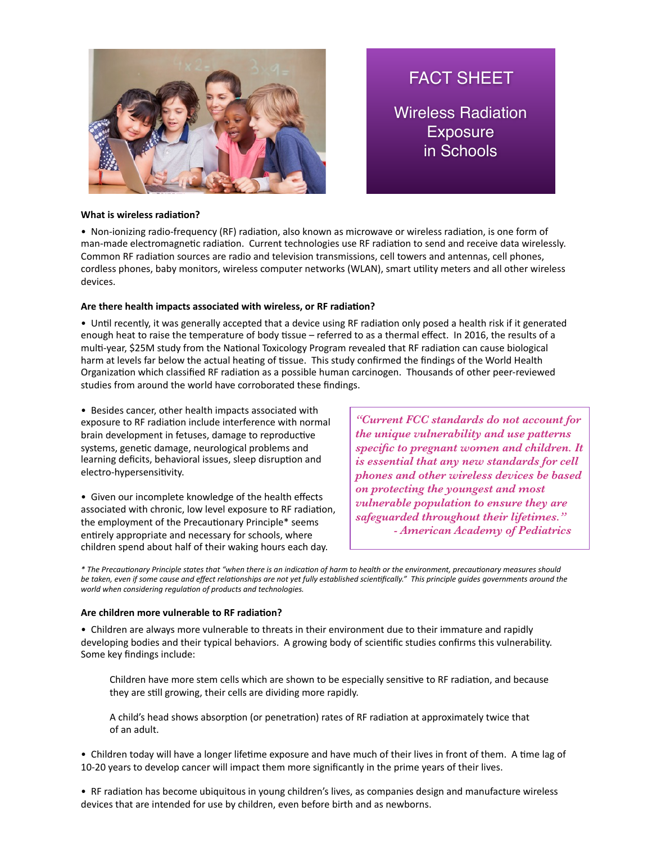

FACT SHEET

Wireless Radiation **Exposure** in Schools

## **What is wireless radiation?**

• Non-ionizing radio-frequency (RF) radiation, also known as microwave or wireless radiation, is one form of man-made electromagnetic radiation. Current technologies use RF radiation to send and receive data wirelessly. Common RF radiation sources are radio and television transmissions, cell towers and antennas, cell phones, cordless phones, baby monitors, wireless computer networks (WLAN), smart utility meters and all other wireless devices. 

### Are there health impacts associated with wireless, or RF radiation?

• Until recently, it was generally accepted that a device using RF radiation only posed a health risk if it generated enough heat to raise the temperature of body tissue – referred to as a thermal effect. In 2016, the results of a multi-year, \$25M study from the National Toxicology Program revealed that RF radiation can cause biological harm at levels far below the actual heating of tissue. This study confirmed the findings of the World Health Organization which classified RF radiation as a possible human carcinogen. Thousands of other peer-reviewed studies from around the world have corroborated these findings.

• Besides cancer, other health impacts associated with exposure to RF radiation include interference with normal brain development in fetuses, damage to reproductive systems, genetic damage, neurological problems and learning deficits, behavioral issues, sleep disruption and electro-hypersensitivity.

• Given our incomplete knowledge of the health effects associated with chronic, low level exposure to RF radiation, the employment of the Precautionary Principle\* seems entirely appropriate and necessary for schools, where children spend about half of their waking hours each day.

*"Current FCC standards do not account for the unique vulnerability and use patterns specific to pregnant women and children. It is essential that any new standards for cell phones and other wireless devices be based on protecting the youngest and most vulnerable population to ensure they are safeguarded throughout their lifetimes." - American Academy of Pediatrics*

\* The Precautionary Principle states that "when there is an indication of harm to health or the environment, precautionary measures should be taken, even if some cause and effect relationships are not yet fully established scientifically." This principle quides governments around the world when considering regulation of products and technologies.

#### Are children more vulnerable to RF radiation?

• Children are always more vulnerable to threats in their environment due to their immature and rapidly developing bodies and their typical behaviors. A growing body of scientific studies confirms this vulnerability. Some key findings include:

Children have more stem cells which are shown to be especially sensitive to RF radiation, and because they are still growing, their cells are dividing more rapidly.

A child's head shows absorption (or penetration) rates of RF radiation at approximately twice that of an adult.

• Children today will have a longer lifetime exposure and have much of their lives in front of them. A time lag of 10-20 years to develop cancer will impact them more significantly in the prime years of their lives.

• RF radiation has become ubiquitous in young children's lives, as companies design and manufacture wireless devices that are intended for use by children, even before birth and as newborns.